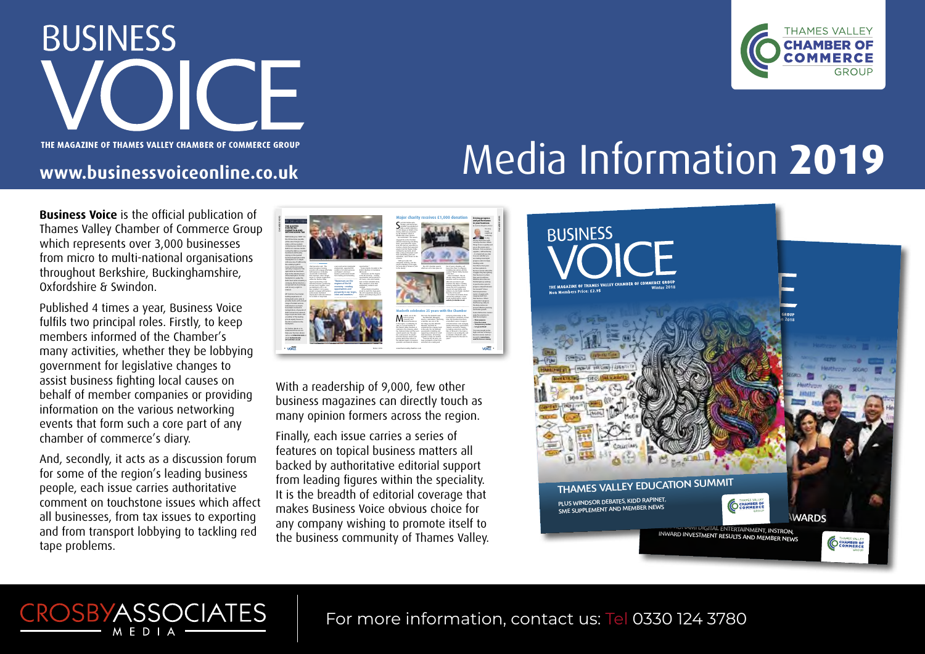**BUSINESS** 



# WE MAGAZINE OF THAMES VALLEY CHAMBER OF COMMERCE GROUP<br>WWW.businessvoiceonline.co.uk

**Business Voice** is the official publication of Thames Valley Chamber of Commerce Group which represents over 3,000 businesses from micro to multi-national organisations throughout Berkshire, Buckinghamshire, Oxfordshire & Swindon.

Published 4 times a year, Business Voice fulfils two principal roles. Firstly, to keep members informed of the Chamber's many activities, whether they be lobbying government for legislative changes to assist business fighting local causes on behalf of member companies or providing information on the various networking events that form such a core part of any chamber of commerce's diary.

And, secondly, it acts as a discussion forum for some of the region's leading business people, each issue carries authoritative comment on touchstone issues which affect all businesses, from tax issues to exporting and from transport lobbying to tackling red tape problems.

CROSBYASSOCIATES MEDIA



With a readership of 9,000, few other business magazines can directly touch as many opinion formers across the region.

Finally, each issue carries a series of features on topical business matters all backed by authoritative editorial support from leading figures within the speciality. It is the breadth of editorial coverage that makes Business Voice obvious choice for any company wishing to promote itself to the business community of Thames Valley.



For more information, contact us: Tel 0330 124 3780